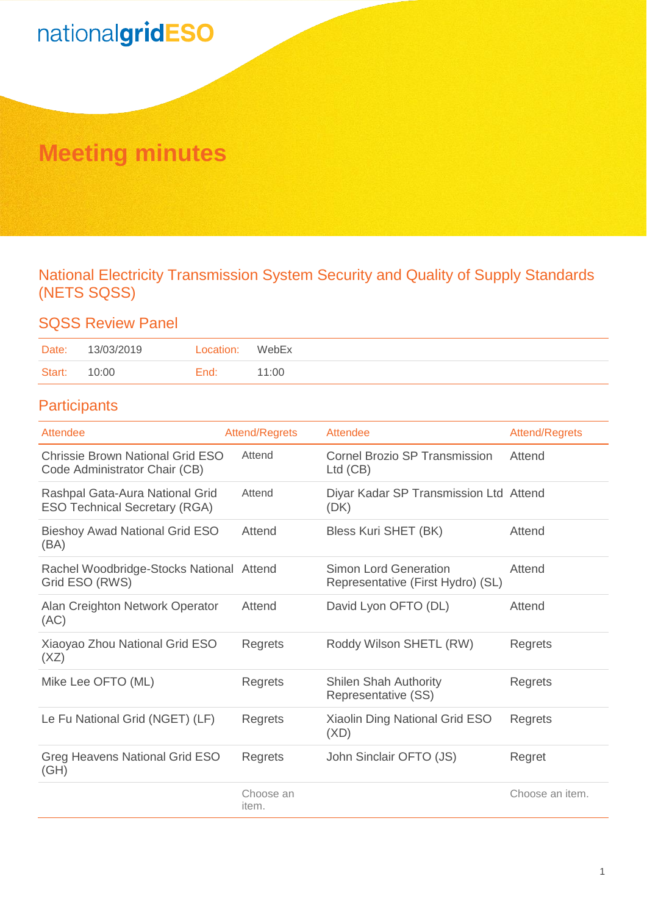## **Meeting minutes**

National Electricity Transmission System Security and Quality of Supply Standards (NETS SQSS)

## SQSS Review Panel

| Date:  | 13/03/2019 | Location: | WebEx |
|--------|------------|-----------|-------|
| Start: | 10:00      | End:      | 11:00 |

## **Participants**

| Attendee                                                                 | <b>Attend/Regrets</b> | Attendee                                                   | Attend/Regrets  |
|--------------------------------------------------------------------------|-----------------------|------------------------------------------------------------|-----------------|
| <b>Chrissie Brown National Grid ESO</b><br>Code Administrator Chair (CB) | Attend                | <b>Cornel Brozio SP Transmission</b><br>$Ltd$ (CB)         | Attend          |
| Rashpal Gata-Aura National Grid<br><b>ESO Technical Secretary (RGA)</b>  | Attend                | Diyar Kadar SP Transmission Ltd Attend<br>(DK)             |                 |
| <b>Bieshoy Awad National Grid ESO</b><br>(BA)                            | Attend                | Bless Kuri SHET (BK)                                       | Attend          |
| Rachel Woodbridge-Stocks National Attend<br>Grid ESO (RWS)               |                       | Simon Lord Generation<br>Representative (First Hydro) (SL) | Attend          |
| Alan Creighton Network Operator<br>(AC)                                  | Attend                | David Lyon OFTO (DL)                                       | Attend          |
| Xiaoyao Zhou National Grid ESO<br>(XZ)                                   | Regrets               | Roddy Wilson SHETL (RW)                                    | Regrets         |
| Mike Lee OFTO (ML)                                                       | Regrets               | <b>Shilen Shah Authority</b><br>Representative (SS)        | Regrets         |
| Le Fu National Grid (NGET) (LF)                                          | Regrets               | Xiaolin Ding National Grid ESO<br>(XD)                     | Regrets         |
| <b>Greg Heavens National Grid ESO</b><br>(GH)                            | Regrets               | John Sinclair OFTO (JS)                                    | Regret          |
|                                                                          | Choose an<br>item.    |                                                            | Choose an item. |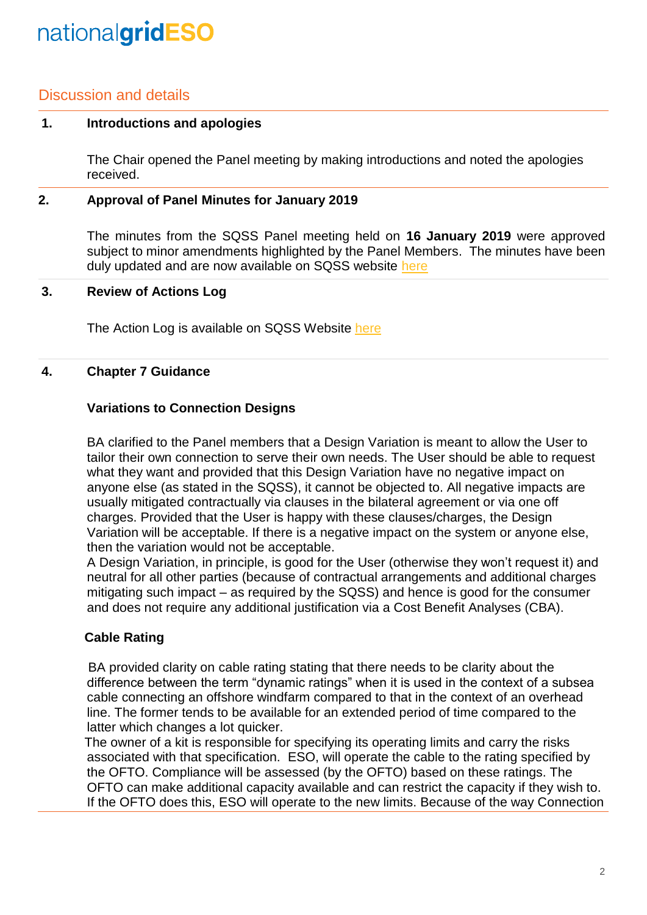## Discussion and details

#### **1. Introductions and apologies**

The Chair opened the Panel meeting by making introductions and noted the apologies received.

#### **2. Approval of Panel Minutes for January 2019**

The minutes from the SQSS Panel meeting held on **16 January 2019** were approved subject to minor amendments highlighted by the Panel Members. The minutes have been duly updated and are now available on SQSS website [here](https://www.nationalgrideso.com/codes/security-and-quality-supply-standards/meetings/sqss-panel-meeting-13-march-2019)

#### **3. Review of Actions Log**

The Action Log is available on SQSS Website [here](https://www.nationalgrideso.com/codes/security-and-quality-supply-standards/meetings/sqss-panel-meeting-13-march-2019)

#### **4. Chapter 7 Guidance**

#### **Variations to Connection Designs**

BA clarified to the Panel members that a Design Variation is meant to allow the User to tailor their own connection to serve their own needs. The User should be able to request what they want and provided that this Design Variation have no negative impact on anyone else (as stated in the SQSS), it cannot be objected to. All negative impacts are usually mitigated contractually via clauses in the bilateral agreement or via one off charges. Provided that the User is happy with these clauses/charges, the Design Variation will be acceptable. If there is a negative impact on the system or anyone else, then the variation would not be acceptable.

A Design Variation, in principle, is good for the User (otherwise they won't request it) and neutral for all other parties (because of contractual arrangements and additional charges mitigating such impact – as required by the SQSS) and hence is good for the consumer and does not require any additional justification via a Cost Benefit Analyses (CBA).

#### **Cable Rating**

BA provided clarity on cable rating stating that there needs to be clarity about the difference between the term "dynamic ratings" when it is used in the context of a subsea cable connecting an offshore windfarm compared to that in the context of an overhead line. The former tends to be available for an extended period of time compared to the latter which changes a lot quicker.

The owner of a kit is responsible for specifying its operating limits and carry the risks associated with that specification. ESO, will operate the cable to the rating specified by the OFTO. Compliance will be assessed (by the OFTO) based on these ratings. The OFTO can make additional capacity available and can restrict the capacity if they wish to. If the OFTO does this, ESO will operate to the new limits. Because of the way Connection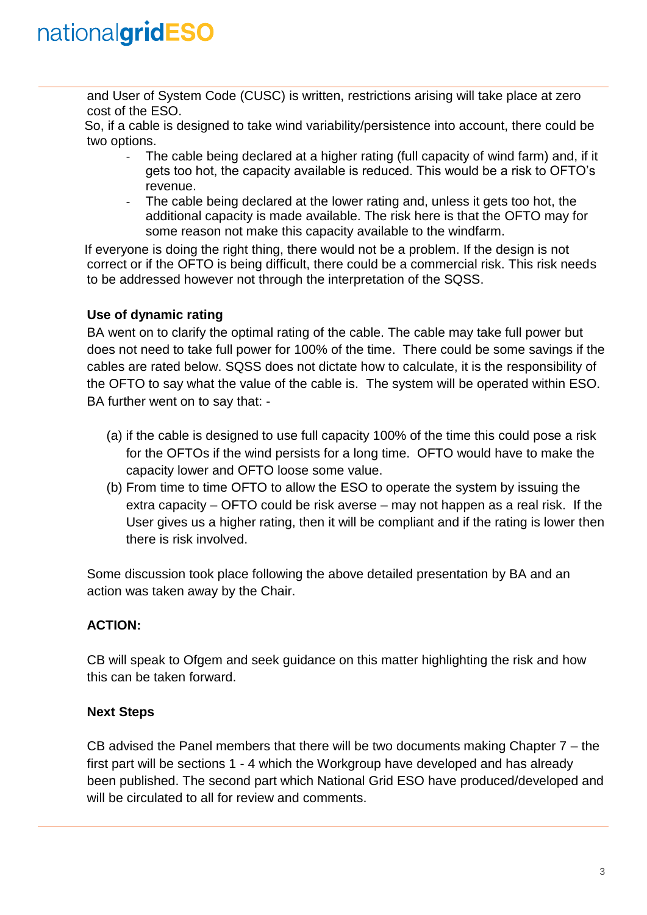and User of System Code (CUSC) is written, restrictions arising will take place at zero cost of the ESO.

So, if a cable is designed to take wind variability/persistence into account, there could be two options.

- The cable being declared at a higher rating (full capacity of wind farm) and, if it gets too hot, the capacity available is reduced. This would be a risk to OFTO's revenue.
- The cable being declared at the lower rating and, unless it gets too hot, the additional capacity is made available. The risk here is that the OFTO may for some reason not make this capacity available to the windfarm.

If everyone is doing the right thing, there would not be a problem. If the design is not correct or if the OFTO is being difficult, there could be a commercial risk. This risk needs to be addressed however not through the interpretation of the SQSS.

### **Use of dynamic rating**

BA went on to clarify the optimal rating of the cable. The cable may take full power but does not need to take full power for 100% of the time. There could be some savings if the cables are rated below. SQSS does not dictate how to calculate, it is the responsibility of the OFTO to say what the value of the cable is. The system will be operated within ESO. BA further went on to say that: -

- (a) if the cable is designed to use full capacity 100% of the time this could pose a risk for the OFTOs if the wind persists for a long time. OFTO would have to make the capacity lower and OFTO loose some value.
- (b) From time to time OFTO to allow the ESO to operate the system by issuing the extra capacity – OFTO could be risk averse – may not happen as a real risk. If the User gives us a higher rating, then it will be compliant and if the rating is lower then there is risk involved.

Some discussion took place following the above detailed presentation by BA and an action was taken away by the Chair.

### **ACTION:**

CB will speak to Ofgem and seek guidance on this matter highlighting the risk and how this can be taken forward.

#### **Next Steps**

CB advised the Panel members that there will be two documents making Chapter 7 – the first part will be sections 1 - 4 which the Workgroup have developed and has already been published. The second part which National Grid ESO have produced/developed and will be circulated to all for review and comments.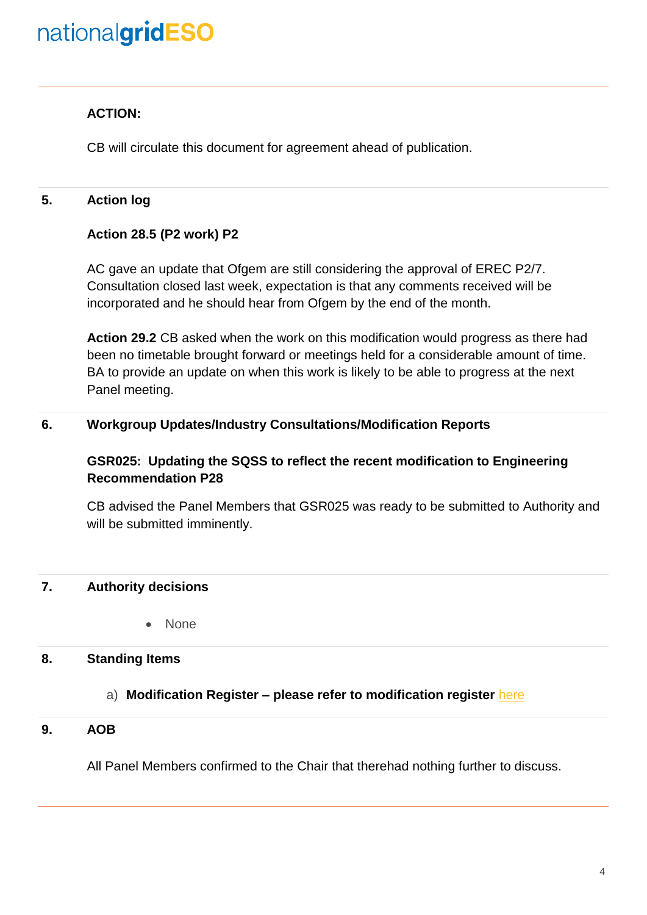### **ACTION:**

CB will circulate this document for agreement ahead of publication.

### **5. Action log**

#### **Action 28.5 (P2 work) P2**

AC gave an update that Ofgem are still considering the approval of EREC P2/7. Consultation closed last week, expectation is that any comments received will be incorporated and he should hear from Ofgem by the end of the month.

**Action 29.2** CB asked when the work on this modification would progress as there had been no timetable brought forward or meetings held for a considerable amount of time. BA to provide an update on when this work is likely to be able to progress at the next Panel meeting.

#### **6. Workgroup Updates/Industry Consultations/Modification Reports**

### **GSR025: Updating the SQSS to reflect the recent modification to Engineering Recommendation P28**

CB advised the Panel Members that GSR025 was ready to be submitted to Authority and will be submitted imminently.

#### **7. Authority decisions**

• None

#### **8. Standing Items**

#### a) **Modification Register – please refer to modification register** [here](https://www.nationalgrideso.com/codes/security-and-quality-supply-standards/meetings/sqss-panel-meeting-16-january-2019)

#### **9. AOB**

All Panel Members confirmed to the Chair that therehad nothing further to discuss.